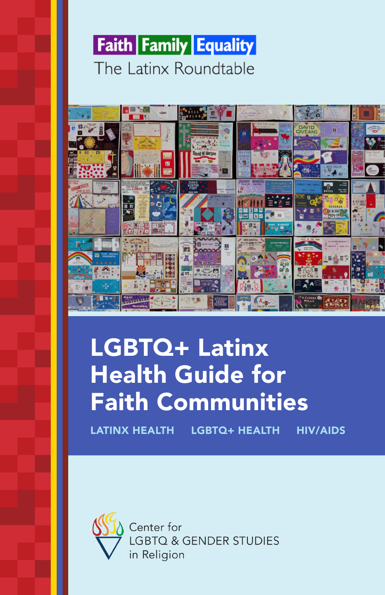



# LGBTQ+ Latinx Health Guide for Faith Communities

LATINX HEALTH LGBTQ+ HEALTH HIV/AIDS



Center for **LGBTQ & GENDER STUDIES** in Religion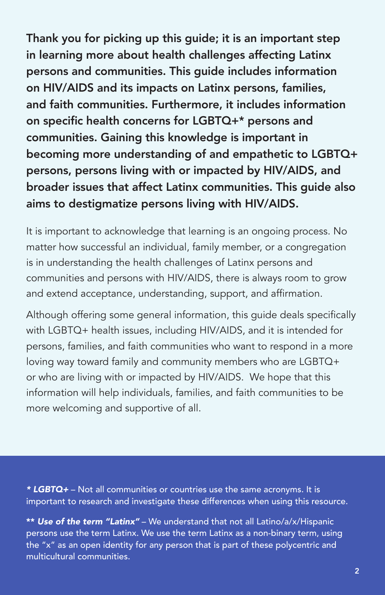Thank you for picking up this guide; it is an important step in learning more about health challenges affecting Latinx persons and communities. This guide includes information on HIV/AIDS and its impacts on Latinx persons, families, and faith communities. Furthermore, it includes information on specific health concerns for LGBTQ+\* persons and communities. Gaining this knowledge is important in becoming more understanding of and empathetic to LGBTQ+ persons, persons living with or impacted by HIV/AIDS, and broader issues that affect Latinx communities. This guide also aims to destigmatize persons living with HIV/AIDS.

It is important to acknowledge that learning is an ongoing process. No matter how successful an individual, family member, or a congregation is in understanding the health challenges of Latinx persons and communities and persons with HIV/AIDS, there is always room to grow and extend acceptance, understanding, support, and affirmation.

Although offering some general information, this guide deals specifically with LGBTQ+ health issues, including HIV/AIDS, and it is intended for persons, families, and faith communities who want to respond in a more loving way toward family and community members who are LGBTQ+ or who are living with or impacted by HIV/AIDS. We hope that this information will help individuals, families, and faith communities to be more welcoming and supportive of all.

*\* LGBTQ+* – Not all communities or countries use the same acronyms. It is important to research and investigate these differences when using this resource.

\*\* *Use of the term "Latinx"* – We understand that not all Latino/a/x/Hispanic persons use the term Latinx. We use the term Latinx as a non-binary term, using the "x" as an open identity for any person that is part of these polycentric and multicultural communities.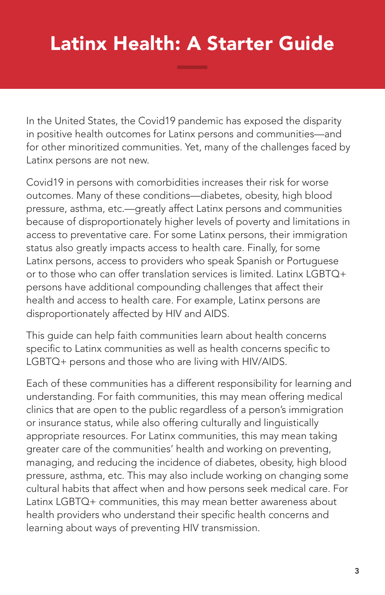## Latinx Health: A Starter Guide

In the United States, the Covid19 pandemic has exposed the disparity in positive health outcomes for Latinx persons and communities—and for other minoritized communities. Yet, many of the challenges faced by Latinx persons are not new.

Covid19 in persons with comorbidities increases their risk for worse outcomes. Many of these conditions—diabetes, obesity, high blood pressure, asthma, etc.—greatly affect Latinx persons and communities because of disproportionately higher levels of poverty and limitations in access to preventative care. For some Latinx persons, their immigration status also greatly impacts access to health care. Finally, for some Latinx persons, access to providers who speak Spanish or Portuguese or to those who can offer translation services is limited. Latinx LGBTQ+ persons have additional compounding challenges that affect their health and access to health care. For example, Latinx persons are disproportionately affected by HIV and AIDS.

This guide can help faith communities learn about health concerns specific to Latinx communities as well as health concerns specific to LGBTQ+ persons and those who are living with HIV/AIDS.

Each of these communities has a different responsibility for learning and understanding. For faith communities, this may mean offering medical clinics that are open to the public regardless of a person's immigration or insurance status, while also offering culturally and linguistically appropriate resources. For Latinx communities, this may mean taking greater care of the communities' health and working on preventing, managing, and reducing the incidence of diabetes, obesity, high blood pressure, asthma, etc. This may also include working on changing some cultural habits that affect when and how persons seek medical care. For Latinx LGBTQ+ communities, this may mean better awareness about health providers who understand their specific health concerns and learning about ways of preventing HIV transmission.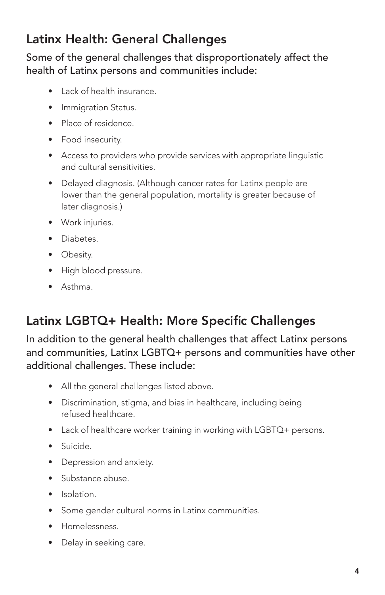## Latinx Health: General Challenges

Some of the general challenges that disproportionately affect the health of Latinx persons and communities include:

- Lack of health insurance.
- Immigration Status.
- Place of residence.
- Food insecurity.
- Access to providers who provide services with appropriate linguistic and cultural sensitivities.
- Delayed diagnosis. (Although cancer rates for Latinx people are lower than the general population, mortality is greater because of later diagnosis.)
- Work injuries.
- Diabetes.
- Obesity.
- High blood pressure.
- Asthma.

## Latinx LGBTQ+ Health: More Specific Challenges

In addition to the general health challenges that affect Latinx persons and communities, Latinx LGBTQ+ persons and communities have other additional challenges. These include:

- All the general challenges listed above.
- Discrimination, stigma, and bias in healthcare, including being refused healthcare.
- Lack of healthcare worker training in working with LGBTQ+ persons.
- Suicide.
- Depression and anxiety.
- Substance abuse.
- Isolation.
- Some gender cultural norms in Latinx communities.
- Homelessness.
- Delay in seeking care.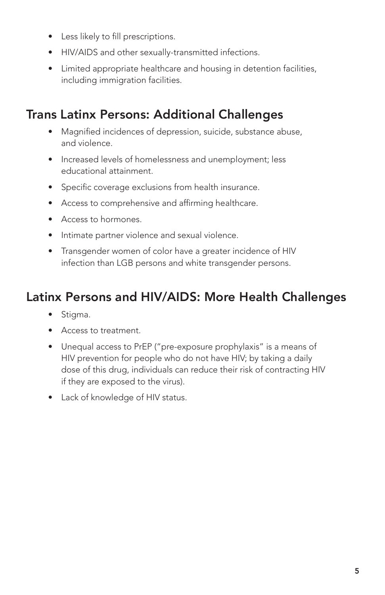- Less likely to fill prescriptions.
- HIV/AIDS and other sexually-transmitted infections.
- Limited appropriate healthcare and housing in detention facilities, including immigration facilities.

### Trans Latinx Persons: Additional Challenges

- Magnified incidences of depression, suicide, substance abuse, and violence.
- Increased levels of homelessness and unemployment; less educational attainment.
- Specific coverage exclusions from health insurance.
- Access to comprehensive and affirming healthcare.
- Access to hormones.
- Intimate partner violence and sexual violence.
- Transgender women of color have a greater incidence of HIV infection than LGB persons and white transgender persons.

## Latinx Persons and HIV/AIDS: More Health Challenges

- Stigma.
- Access to treatment.
- Unequal access to PrEP ("pre-exposure prophylaxis" is a means of HIV prevention for people who do not have HIV; by taking a daily dose of this drug, individuals can reduce their risk of contracting HIV if they are exposed to the virus).
- Lack of knowledge of HIV status.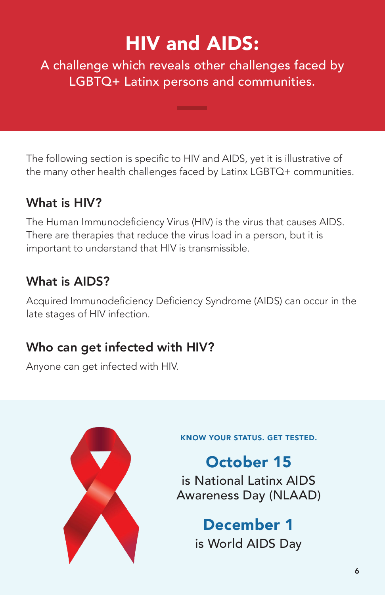## HIV and AIDS:

A challenge which reveals other challenges faced by LGBTQ+ Latinx persons and communities.

The following section is specific to HIV and AIDS, yet it is illustrative of the many other health challenges faced by Latinx LGBTQ+ communities.

## What is HIV?

The Human Immunodeficiency Virus (HIV) is the virus that causes AIDS. There are therapies that reduce the virus load in a person, but it is important to understand that HIV is transmissible.

## What is AIDS?

Acquired Immunodeficiency Deficiency Syndrome (AIDS) can occur in the late stages of HIV infection.

## Who can get infected with HIV?

Anyone can get infected with HIV.



KNOW YOUR STATUS. GET TESTED.

October 15 is National Latinx AIDS Awareness Day (NLAAD)

> December 1 is World AIDS Day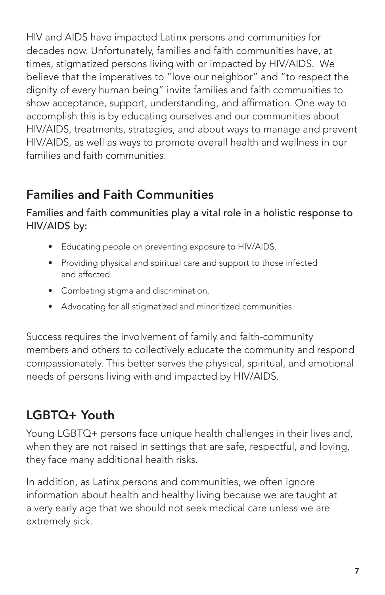HIV and AIDS have impacted Latinx persons and communities for decades now. Unfortunately, families and faith communities have, at times, stigmatized persons living with or impacted by HIV/AIDS. We believe that the imperatives to "love our neighbor" and "to respect the dignity of every human being" invite families and faith communities to show acceptance, support, understanding, and affirmation. One way to accomplish this is by educating ourselves and our communities about HIV/AIDS, treatments, strategies, and about ways to manage and prevent HIV/AIDS, as well as ways to promote overall health and wellness in our families and faith communities.

## Families and Faith Communities

Families and faith communities play a vital role in a holistic response to HIV/AIDS by:

- Educating people on preventing exposure to HIV/AIDS.
- Providing physical and spiritual care and support to those infected and affected.
- Combating stigma and discrimination.
- Advocating for all stigmatized and minoritized communities.

Success requires the involvement of family and faith-community members and others to collectively educate the community and respond compassionately. This better serves the physical, spiritual, and emotional needs of persons living with and impacted by HIV/AIDS.

## LGBTQ+ Youth

Young LGBTQ+ persons face unique health challenges in their lives and, when they are not raised in settings that are safe, respectful, and loving, they face many additional health risks.

In addition, as Latinx persons and communities, we often ignore information about health and healthy living because we are taught at a very early age that we should not seek medical care unless we are extremely sick.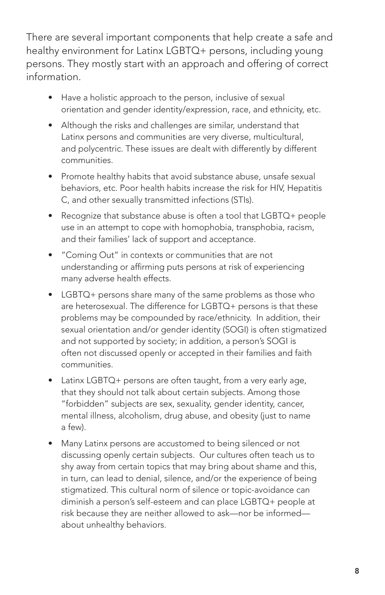There are several important components that help create a safe and healthy environment for Latinx LGBTQ+ persons, including young persons. They mostly start with an approach and offering of correct information.

- Have a holistic approach to the person, inclusive of sexual orientation and gender identity/expression, race, and ethnicity, etc.
- Although the risks and challenges are similar, understand that Latinx persons and communities are very diverse, multicultural, and polycentric. These issues are dealt with differently by different communities.
- Promote healthy habits that avoid substance abuse, unsafe sexual behaviors, etc. Poor health habits increase the risk for HIV, Hepatitis C, and other sexually transmitted infections (STIs).
- Recognize that substance abuse is often a tool that LGBTQ+ people use in an attempt to cope with homophobia, transphobia, racism, and their families' lack of support and acceptance.
- "Coming Out" in contexts or communities that are not understanding or affirming puts persons at risk of experiencing many adverse health effects.
- LGBTQ+ persons share many of the same problems as those who are heterosexual. The difference for LGBTQ+ persons is that these problems may be compounded by race/ethnicity. In addition, their sexual orientation and/or gender identity (SOGI) is often stigmatized and not supported by society; in addition, a person's SOGI is often not discussed openly or accepted in their families and faith communities.
- Latinx LGBTQ+ persons are often taught, from a very early age, that they should not talk about certain subjects. Among those "forbidden" subjects are sex, sexuality, gender identity, cancer, mental illness, alcoholism, drug abuse, and obesity (just to name a few).
- Many Latinx persons are accustomed to being silenced or not discussing openly certain subjects. Our cultures often teach us to shy away from certain topics that may bring about shame and this, in turn, can lead to denial, silence, and/or the experience of being stigmatized. This cultural norm of silence or topic-avoidance can diminish a person's self-esteem and can place LGBTQ+ people at risk because they are neither allowed to ask—nor be informed about unhealthy behaviors.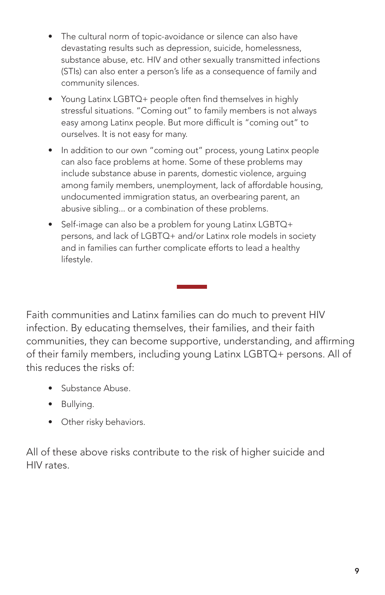- The cultural norm of topic-avoidance or silence can also have devastating results such as depression, suicide, homelessness, substance abuse, etc. HIV and other sexually transmitted infections (STIs) can also enter a person's life as a consequence of family and community silences.
- Young Latinx LGBTQ+ people often find themselves in highly stressful situations. "Coming out" to family members is not always easy among Latinx people. But more difficult is "coming out" to ourselves. It is not easy for many.
- In addition to our own "coming out" process, young Latinx people can also face problems at home. Some of these problems may include substance abuse in parents, domestic violence, arguing among family members, unemployment, lack of affordable housing, undocumented immigration status, an overbearing parent, an abusive sibling... or a combination of these problems.
- Self-image can also be a problem for young Latinx LGBTQ+ persons, and lack of LGBTQ+ and/or Latinx role models in society and in families can further complicate efforts to lead a healthy lifestyle.

Faith communities and Latinx families can do much to prevent HIV infection. By educating themselves, their families, and their faith communities, they can become supportive, understanding, and affirming of their family members, including young Latinx LGBTQ+ persons. All of this reduces the risks of:

- Substance Abuse.
- Bullying.
- Other risky behaviors.

All of these above risks contribute to the risk of higher suicide and HIV rates.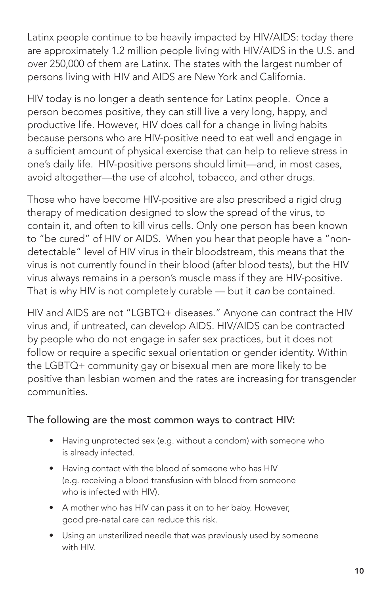Latinx people continue to be heavily impacted by HIV/AIDS: today there are approximately 1.2 million people living with HIV/AIDS in the U.S. and over 250,000 of them are Latinx. The states with the largest number of persons living with HIV and AIDS are New York and California.

HIV today is no longer a death sentence for Latinx people. Once a person becomes positive, they can still live a very long, happy, and productive life. However, HIV does call for a change in living habits because persons who are HIV-positive need to eat well and engage in a sufficient amount of physical exercise that can help to relieve stress in one's daily life. HIV-positive persons should limit—and, in most cases, avoid altogether—the use of alcohol, tobacco, and other drugs.

Those who have become HIV-positive are also prescribed a rigid drug therapy of medication designed to slow the spread of the virus, to contain it, and often to kill virus cells. Only one person has been known to "be cured" of HIV or AIDS. When you hear that people have a "nondetectable" level of HIV virus in their bloodstream, this means that the virus is not currently found in their blood (after blood tests), but the HIV virus always remains in a person's muscle mass if they are HIV-positive. That is why HIV is not completely curable — but it *can* be contained.

HIV and AIDS are not "LGBTQ+ diseases." Anyone can contract the HIV virus and, if untreated, can develop AIDS. HIV/AIDS can be contracted by people who do not engage in safer sex practices, but it does not follow or require a specific sexual orientation or gender identity. Within the LGBTQ+ community gay or bisexual men are more likely to be positive than lesbian women and the rates are increasing for transgender communities.

#### The following are the most common ways to contract HIV:

- Having unprotected sex (e.g. without a condom) with someone who is already infected.
- Having contact with the blood of someone who has HIV (e.g. receiving a blood transfusion with blood from someone who is infected with HIV).
- A mother who has HIV can pass it on to her baby. However, good pre-natal care can reduce this risk.
- Using an unsterilized needle that was previously used by someone with HIV.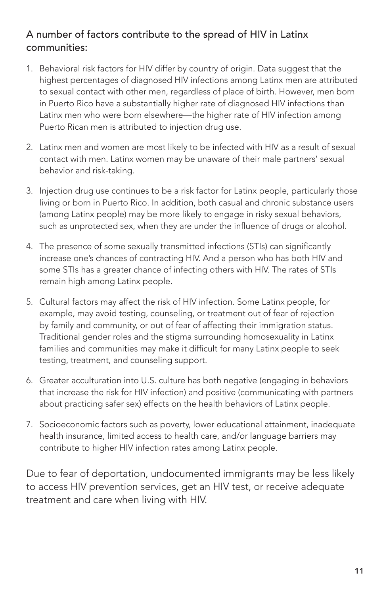#### A number of factors contribute to the spread of HIV in Latinx communities:

- 1. Behavioral risk factors for HIV differ by country of origin. Data suggest that the highest percentages of diagnosed HIV infections among Latinx men are attributed to sexual contact with other men, regardless of place of birth. However, men born in Puerto Rico have a substantially higher rate of diagnosed HIV infections than Latinx men who were born elsewhere—the higher rate of HIV infection among Puerto Rican men is attributed to injection drug use.
- 2. Latinx men and women are most likely to be infected with HIV as a result of sexual contact with men. Latinx women may be unaware of their male partners' sexual behavior and risk-taking.
- 3. Injection drug use continues to be a risk factor for Latinx people, particularly those living or born in Puerto Rico. In addition, both casual and chronic substance users (among Latinx people) may be more likely to engage in risky sexual behaviors, such as unprotected sex, when they are under the influence of drugs or alcohol.
- 4. The presence of some sexually transmitted infections (STIs) can significantly increase one's chances of contracting HIV. And a person who has both HIV and some STIs has a greater chance of infecting others with HIV. The rates of STIs remain high among Latinx people.
- 5. Cultural factors may affect the risk of HIV infection. Some Latinx people, for example, may avoid testing, counseling, or treatment out of fear of rejection by family and community, or out of fear of affecting their immigration status. Traditional gender roles and the stigma surrounding homosexuality in Latinx families and communities may make it difficult for many Latinx people to seek testing, treatment, and counseling support.
- 6. Greater acculturation into U.S. culture has both negative (engaging in behaviors that increase the risk for HIV infection) and positive (communicating with partners about practicing safer sex) effects on the health behaviors of Latinx people.
- 7. Socioeconomic factors such as poverty, lower educational attainment, inadequate health insurance, limited access to health care, and/or language barriers may contribute to higher HIV infection rates among Latinx people.

Due to fear of deportation, undocumented immigrants may be less likely to access HIV prevention services, get an HIV test, or receive adequate treatment and care when living with HIV.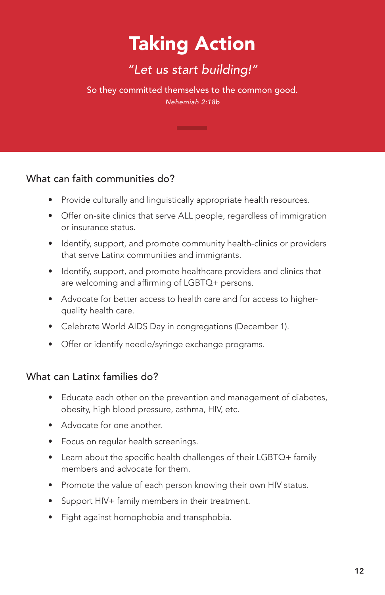## Taking Action

## *"Let us start building!"*

So they committed themselves to the common good. *Nehemiah 2:18b*

#### What can faith communities do?

- Provide culturally and linguistically appropriate health resources.
- Offer on-site clinics that serve ALL people, regardless of immigration or insurance status.
- Identify, support, and promote community health-clinics or providers that serve Latinx communities and immigrants.
- Identify, support, and promote healthcare providers and clinics that are welcoming and affirming of LGBTQ+ persons.
- Advocate for better access to health care and for access to higherquality health care.
- Celebrate World AIDS Day in congregations (December 1).
- Offer or identify needle/syringe exchange programs.

#### What can Latinx families do?

- Educate each other on the prevention and management of diabetes, obesity, high blood pressure, asthma, HIV, etc.
- Advocate for one another.
- Focus on regular health screenings.
- Learn about the specific health challenges of their LGBTQ+ family members and advocate for them.
- Promote the value of each person knowing their own HIV status.
- Support HIV+ family members in their treatment.
- Fight against homophobia and transphobia.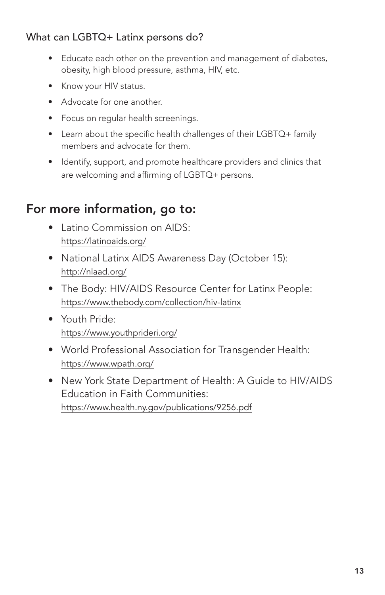#### What can LGBTQ+ Latinx persons do?

- Educate each other on the prevention and management of diabetes, obesity, high blood pressure, asthma, HIV, etc.
- Know your HIV status.
- Advocate for one another.
- Focus on regular health screenings.
- Learn about the specific health challenges of their LGBTQ+ family members and advocate for them.
- Identify, support, and promote healthcare providers and clinics that are welcoming and affirming of LGBTQ+ persons.

### For more information, go to:

- Latino Commission on AIDS: https://latinoaids.org/
- National Latinx AIDS Awareness Day (October 15): http://nlaad.org/
- The Body: HIV/AIDS Resource Center for Latinx People: https://www.thebody.com/collection/hiv-latinx
- Youth Pride: https://www.youthprideri.org/
- World Professional Association for Transgender Health: https://www.wpath.org/
- New York State Department of Health: A Guide to HIV/AIDS Education in Faith Communities: https://www.health.ny.gov/publications/9256.pdf